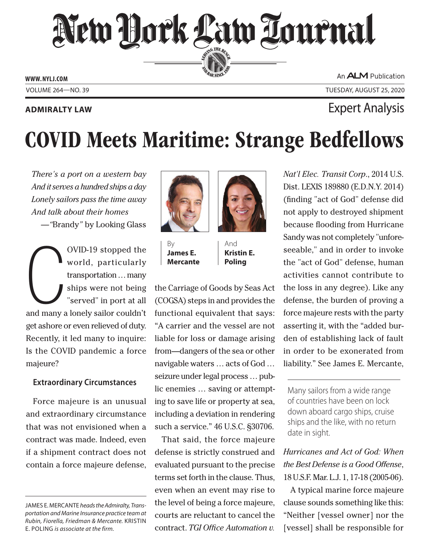New Hork Law Tournal SERVING THE BEN

**ED BAR SINCE 188** 

**www. NYLJ.com**

An ALM Publication

Volume 264—NO. 39 Tuesday, August 25, 2020

# **Admiralty Law** Expert Analysis

# COVID Meets Maritime: Strange Bedfellows

*There's a port on a western bay And it serves a hundred ships a day Lonely sailors pass the time away And talk about their homes —"*Brandy*"* by Looking Glass

 $\bigcup$ <br>and many OVID-19 stopped the world, particularly transportation … many ships were not being "served" in port at all and many a lonely sailor couldn't get ashore or even relieved of duty. Recently, it led many to inquire: Is the COVID pandemic a force majeure?

## **Extraordinary Circumstances**

Force majeure is an unusual and extraordinary circumstance that was not envisioned when a contract was made. Indeed, even if a shipment contract does not contain a force majeure defense,



By **James E. Mercante**



And **Kristin E. Poling**

the Carriage of Goods by Seas Act (COGSA) steps in and provides the functional equivalent that says: "A carrier and the vessel are not liable for loss or damage arising from—dangers of the sea or other navigable waters … acts of God … seizure under legal process … public enemies … saving or attempting to save life or property at sea, including a deviation in rendering such a service." 46 U.S.C. §30706.

That said, the force majeure defense is strictly construed and evaluated pursuant to the precise terms set forth in the clause. Thus, even when an event may rise to the level of being a force majeure, courts are reluctant to cancel the contract. *TGI Office Automation v.* 

*Nat'l Elec. Transit Corp*., 2014 U.S. Dist. LEXIS 189880 (E.D.N.Y. 2014) (finding "act of God" defense did not apply to destroyed shipment because flooding from Hurricane Sandy was not completely "unforeseeable," and in order to invoke the "act of God" defense, human activities cannot contribute to the loss in any degree). Like any defense, the burden of proving a force majeure rests with the party asserting it, with the "added burden of establishing lack of fault in order to be exonerated from liability." See James E. Mercante,

Many sailors from a wide range of countries have been on lock down aboard cargo ships, cruise ships and the like, with no return date in sight.

# *Hurricanes and Act of God: When the Best Defense is a Good Offense*, 18 U.S.F. Mar. L.J. 1, 17-18 (2005-06).

A typical marine force majeure clause sounds something like this: "Neither [vessel owner] nor the [vessel] shall be responsible for

James E. Mercante *heads the Admiralty, Transportation and Marine Insurance practice team at Rubin, Fiorella, Friedman & Mercante.* Kristin E. Poling *is associate at the firm.*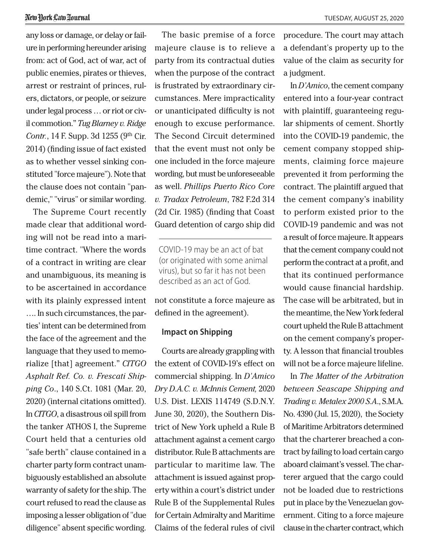any loss or damage, or delay or failure in performing hereunder arising from: act of God, act of war, act of public enemies, pirates or thieves, arrest or restraint of princes, rulers, dictators, or people, or seizure under legal process … or riot or civil commotion." *Tug Blarney v. Ridge Contr.*, 14 F. Supp. 3d 1255 (9<sup>th</sup> Cir. 2014) (finding issue of fact existed as to whether vessel sinking constituted "force majeure"). Note that the clause does not contain "pandemic," "virus" or similar wording.

The Supreme Court recently made clear that additional wording will not be read into a maritime contract. "Where the words of a contract in writing are clear and unambiguous, its meaning is to be ascertained in accordance with its plainly expressed intent …. In such circumstances, the parties' intent can be determined from the face of the agreement and the language that they used to memorialize [that] agreement." *CITGO Asphalt Ref. Co. v. Frescati Shipping Co*., 140 S.Ct. 1081 (Mar. 20, 2020) (internal citations omitted). In *CITGO*, a disastrous oil spill from the tanker ATHOS I, the Supreme Court held that a centuries old "safe berth" clause contained in a charter party form contract unambiguously established an absolute warranty of safety for the ship. The court refused to read the clause as imposing a lesser obligation of "due diligence" absent specific wording.

The basic premise of a force majeure clause is to relieve a party from its contractual duties when the purpose of the contract is frustrated by extraordinary circumstances. Mere impracticality or unanticipated difficulty is not enough to excuse performance. The Second Circuit determined that the event must not only be one included in the force majeure wording, but must be unforeseeable as well. *Phillips Puerto Rico Core v. Tradax Petroleum*, 782 F.2d 314 (2d Cir. 1985) (finding that Coast Guard detention of cargo ship did

COVID-19 may be an act of bat (or originated with some animal virus), but so far it has not been described as an act of God.

not constitute a force majeure as defined in the agreement).

### **Impact on Shipping**

Courts are already grappling with the extent of COVID-19's effect on commercial shipping. In *D'Amico Dry D.A.C. v. McInnis Cement,* 2020 U.S. Dist. LEXIS 114749 (S.D.N.Y. June 30, 2020), the Southern District of New York upheld a Rule B attachment against a cement cargo distributor. Rule B attachments are particular to maritime law. The attachment is issued against property within a court's district under Rule B of the Supplemental Rules for Certain Admiralty and Maritime Claims of the federal rules of civil

procedure. The court may attach a defendant's property up to the value of the claim as security for a judgment.

In *D'Amico*, the cement company entered into a four-year contract with plaintiff, guaranteeing regular shipments of cement. Shortly into the COVID-19 pandemic, the cement company stopped shipments, claiming force majeure prevented it from performing the contract. The plaintiff argued that the cement company's inability to perform existed prior to the COVID-19 pandemic and was not a result of force majeure. It appears that the cement company could not perform the contract at a profit, and that its continued performance would cause financial hardship. The case will be arbitrated, but in the meantime, the New York federal court upheld the Rule B attachment on the cement company's property. A lesson that financial troubles will not be a force majeure lifeline.

In *The Matter of the Arbitration between Seascape Shipping and Trading v. Metalex 2000 S.A*., S.M.A. No. 4390 (Jul. 15, 2020), the Society of Maritime Arbitrators determined that the charterer breached a contract by failing to load certain cargo aboard claimant's vessel. The charterer argued that the cargo could not be loaded due to restrictions put in place by the Venezuelan government. Citing to a force majeure clause in the charter contract, which